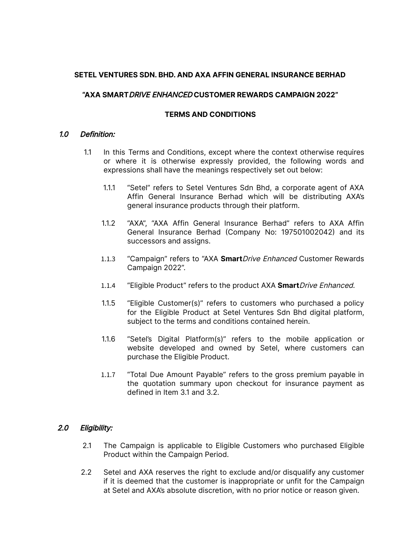### **SETEL VENTURES SDN. BHD. AND AXA AFFIN GENERAL INSURANCE BERHAD**

# **"AXA SMART**DRIVE ENHANCED **CUSTOMER REWARDS CAMPAIGN 2022"**

# **TERMS AND CONDITIONS**

#### 1.0 Definition:

- 1.1 In this Terms and Conditions, except where the context otherwise requires or where it is otherwise expressly provided, the following words and expressions shall have the meanings respectively set out below:
	- 1.1.1 "Setel" refers to Setel Ventures Sdn Bhd, a corporate agent of AXA Affin General Insurance Berhad which will be distributing AXA's general insurance products through their platform.
	- 1.1.2 "AXA", "AXA Affin General Insurance Berhad" refers to AXA Affin General Insurance Berhad (Company No: 197501002042) and its successors and assigns.
	- 1.1.3 "Campaign" refers to "AXA **Smart**Drive Enhanced Customer Rewards Campaign 2022".
	- 1.1.4 "Eligible Product" refers to the product AXA **Smart**Drive Enhanced.
	- 1.1.5 "Eligible Customer(s)" refers to customers who purchased a policy for the Eligible Product at Setel Ventures Sdn Bhd digital platform, subject to the terms and conditions contained herein.
	- 1.1.6 "Setel's Digital Platform(s)" refers to the mobile application or website developed and owned by Setel, where customers can purchase the Eligible Product.
	- 1.1.7 "Total Due Amount Payable" refers to the gross premium payable in the quotation summary upon checkout for insurance payment as defined in Item 3.1 and 3.2.

#### 2.0 Eligibility:

- 2.1 The Campaign is applicable to Eligible Customers who purchased Eligible Product within the Campaign Period.
- 2.2 Setel and AXA reserves the right to exclude and/or disqualify any customer if it is deemed that the customer is inappropriate or unfit for the Campaign at Setel and AXA's absolute discretion, with no prior notice or reason given.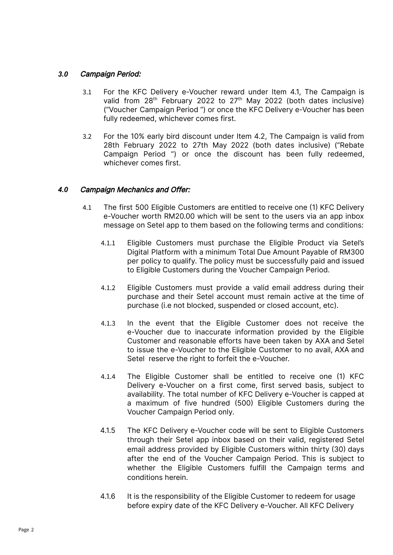## *3.0* Campaign Period:

- 3.1 For the KFC Delivery e-Voucher reward under Item 4.1, The Campaign is valid from  $28<sup>th</sup>$  February 2022 to  $27<sup>th</sup>$  May 2022 (both dates inclusive) ("Voucher Campaign Period ") or once the KFC Delivery e-Voucher has been fully redeemed, whichever comes first.
- 3.2 For the 10% early bird discount under Item 4.2, The Campaign is valid from 28th February 2022 to 27th May 2022 (both dates inclusive) ("Rebate Campaign Period ") or once the discount has been fully redeemed, whichever comes first.

### *4.0* Campaign Mechanics and Offer:

- 4.1 The first 500 Eligible Customers are entitled to receive one (1) KFC Delivery e-Voucher worth RM20.00 which will be sent to the users via an app inbox message on Setel app to them based on the following terms and conditions:
	- 4.1.1 Eligible Customers must purchase the Eligible Product via Setel's Digital Platform with a minimum Total Due Amount Payable of RM300 per policy to qualify. The policy must be successfully paid and issued to Eligible Customers during the Voucher Campaign Period.
	- 4.1.2 Eligible Customers must provide a valid email address during their purchase and their Setel account must remain active at the time of purchase (i.e not blocked, suspended or closed account, etc).
	- 4.1.3 In the event that the Eligible Customer does not receive the e-Voucher due to inaccurate information provided by the Eligible Customer and reasonable efforts have been taken by AXA and Setel to issue the e-Voucher to the Eligible Customer to no avail, AXA and Setel reserve the right to forfeit the e-Voucher.
	- 4.1.4 The Eligible Customer shall be entitled to receive one (1) KFC Delivery e-Voucher on a first come, first served basis, subject to availability. The total number of KFC Delivery e-Voucher is capped at a maximum of five hundred (500) Eligible Customers during the Voucher Campaign Period only.
	- 4.1.5 The KFC Delivery e-Voucher code will be sent to Eligible Customers through their Setel app inbox based on their valid, registered Setel email address provided by Eligible Customers within thirty (30) days after the end of the Voucher Campaign Period. This is subject to whether the Eligible Customers fulfill the Campaign terms and conditions herein.
	- 4.1.6 It is the responsibility of the Eligible Customer to redeem for usage before expiry date of the KFC Delivery e-Voucher. All KFC Delivery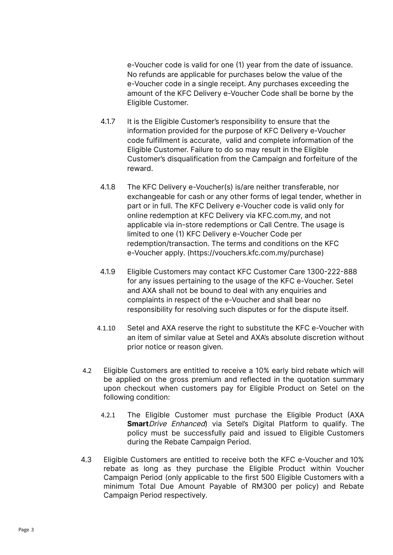e-Voucher code is valid for one (1) year from the date of issuance. No refunds are applicable for purchases below the value of the e-Voucher code in a single receipt. Any purchases exceeding the amount of the KFC Delivery e-Voucher Code shall be borne by the Eligible Customer.

- 4.1.7 It is the Eligible Customer's responsibility to ensure that the information provided for the purpose of KFC Delivery e-Voucher code fulfillment is accurate, valid and complete information of the Eligible Customer. Failure to do so may result in the Eligible Customer's disqualification from the Campaign and forfeiture of the reward.
- 4.1.8 The KFC Delivery e-Voucher(s) is/are neither transferable, nor exchangeable for cash or any other forms of legal tender, whether in part or in full. The KFC Delivery e-Voucher code is valid only for online redemption at KFC Delivery via KFC.com.my, and not applicable via in-store redemptions or Call Centre. The usage is limited to one (1) KFC Delivery e-Voucher Code per redemption/transaction. The terms and conditions on the KFC e-Voucher apply. (https://vouchers.kfc.com.my/purchase)
- 4.1.9 Eligible Customers may contact KFC Customer Care 1300-222-888 for any issues pertaining to the usage of the KFC e-Voucher. Setel and AXA shall not be bound to deal with any enquiries and complaints in respect of the e-Voucher and shall bear no responsibility for resolving such disputes or for the dispute itself.
- 4.1.10 Setel and AXA reserve the right to substitute the KFC e-Voucher with an item of similar value at Setel and AXA's absolute discretion without prior notice or reason given.
- 4.2 Eligible Customers are entitled to receive a 10% early bird rebate which will be applied on the gross premium and reflected in the quotation summary upon checkout when customers pay for Eligible Product on Setel on the following condition:
	- 4.2.1 The Eligible Customer must purchase the Eligible Product (AXA **Smart**Drive Enhanced) via Setel's Digital Platform to qualify. The policy must be successfully paid and issued to Eligible Customers during the Rebate Campaign Period.
- 4.3 Eligible Customers are entitled to receive both the KFC e-Voucher and 10% rebate as long as they purchase the Eligible Product within Voucher Campaign Period (only applicable to the first 500 Eligible Customers with a minimum Total Due Amount Payable of RM300 per policy) and Rebate Campaign Period respectively.